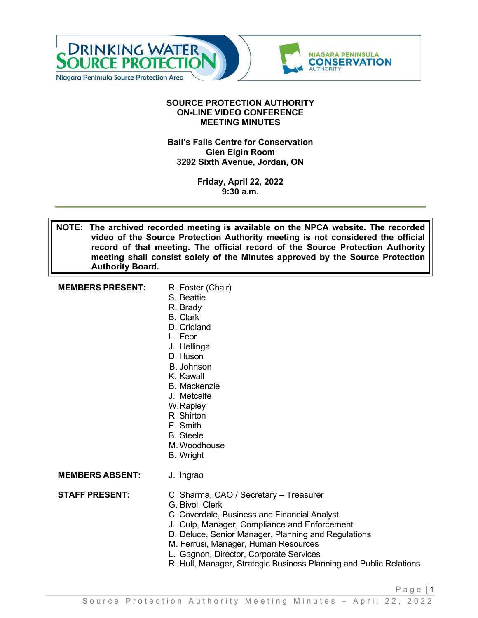

#### **SOURCE PROTECTION AUTHORITY ON-LINE VIDEO CONFERENCE MEETING MINUTES**

#### **Ball's Falls Centre for Conservation Glen Elgin Room 3292 Sixth Avenue, Jordan, ON**

**Friday, April 22, 2022 9:30 a.m.**

**NOTE: The archived recorded meeting is available on the NPCA website. The recorded video of the Source Protection Authority meeting is not considered the official record of that meeting. The official record of the Source Protection Authority meeting shall consist solely of the Minutes approved by the Source Protection Authority Board.**

| <b>MEMBERS PRESENT:</b> | R. Foster (Chair)   |
|-------------------------|---------------------|
|                         | S. Beattie          |
|                         | R. Brady            |
|                         | <b>B.</b> Clark     |
|                         | D. Cridland         |
|                         | L. Feor             |
|                         | J. Hellinga         |
|                         | D. Huson            |
|                         | B. Johnson          |
|                         | K. Kawall           |
|                         | <b>B.</b> Mackenzie |
|                         | J. Metcalfe         |
|                         | W.Rapley            |
|                         | R. Shirton          |
|                         | $\Gamma$ Cmith      |

- E. Smith
- B. Steele
- M. Woodhouse
- B. Wright

**MEMBERS ABSENT:** J. Ingrao

**STAFF PRESENT:** C. Sharma, CAO / Secretary – Treasurer

- G. Bivol, Clerk
- C. Coverdale, Business and Financial Analyst
- J. Culp, Manager, Compliance and Enforcement
- D. Deluce, Senior Manager, Planning and Regulations
- M. Ferrusi, Manager, Human Resources
- L. Gagnon, Director, Corporate Services
- R. Hull, Manager, Strategic Business Planning and Public Relations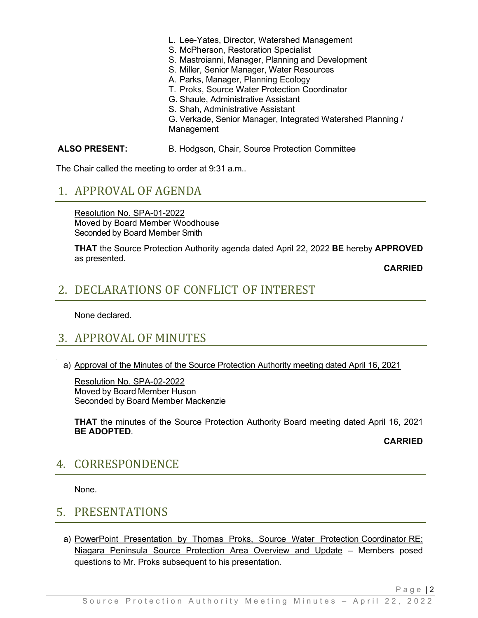- L. Lee-Yates, Director, Watershed Management
- S. McPherson, Restoration Specialist
- S. Mastroianni, Manager, Planning and Development
- S. Miller, Senior Manager, Water Resources
- A. Parks, Manager, Planning Ecology
- T. Proks, Source Water Protection Coordinator
- G. Shaule, Administrative Assistant
- S. Shah, Administrative Assistant

G. Verkade, Senior Manager, Integrated Watershed Planning / Management

#### **ALSO PRESENT:** B. Hodgson, Chair, Source Protection Committee

The Chair called the meeting to order at 9:31 a.m..

### APPROVAL OF AGENDA

Resolution No. SPA-01-2022 Moved by Board Member Woodhouse Seconded by Board Member Smith

**THAT** the Source Protection Authority agenda dated April 22, 2022 **BE** hereby **APPROVED**  as presented.

**CARRIED**

# DECLARATIONS OF CONFLICT OF INTEREST

None declared.

# 3. APPROVAL OF MINUTES

a) Approval of the Minutes of the Source Protection Authority meeting dated April 16, 2021

Resolution No. SPA-02-2022 Moved by Board Member Huson Seconded by Board Member Mackenzie

**THAT** the minutes of the Source Protection Authority Board meeting dated April 16, 2021 **BE ADOPTED**.

**CARRIED**

## 4. CORRESPONDENCE

None.

## 5. PRESENTATIONS

a) PowerPoint Presentation by Thomas Proks, Source Water Protection Coordinator RE: Niagara Peninsula Source Protection Area Overview and Update – Members posed questions to Mr. Proks subsequent to his presentation.

Page | 2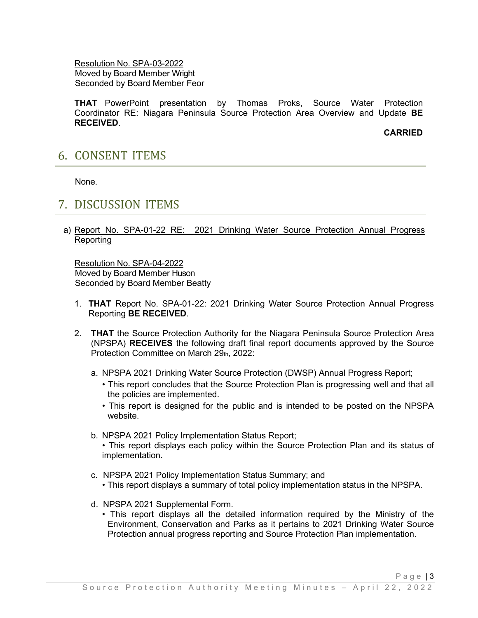Resolution No. SPA-03-2022 Moved by Board Member Wright Seconded by Board Member Feor

**THAT** PowerPoint presentation by Thomas Proks, Source Water Protection Coordinator RE: Niagara Peninsula Source Protection Area Overview and Update **BE RECEIVED**.

**CARRIED**

## **6. CONSENT ITEMS**

None.

#### **7. DISCUSSION ITEMS**

#### a) Report No. SPA-01-22 RE: 2021 Drinking Water Source Protection Annual Progress Reporting

Resolution No. SPA-04-2022 Moved by Board Member Huson Seconded by Board Member Beatty

- 1. **THAT** Report No. SPA-01-22: 2021 Drinking Water Source Protection Annual Progress Reporting **BE RECEIVED**.
- 2. **THAT** the Source Protection Authority for the Niagara Peninsula Source Protection Area (NPSPA) **RECEIVES** the following draft final report documents approved by the Source Protection Committee on March 29th, 2022:
	- a. NPSPA 2021 Drinking Water Source Protection (DWSP) Annual Progress Report;
		- This report concludes that the Source Protection Plan is progressing well and that all the policies are implemented.
		- This report is designed for the public and is intended to be posted on the NPSPA website.
	- b. NPSPA 2021 Policy Implementation Status Report;
		- This report displays each policy within the Source Protection Plan and its status of implementation.
	- c. NPSPA 2021 Policy Implementation Status Summary; and
		- This report displays a summary of total policy implementation status in the NPSPA.
	- d. NPSPA 2021 Supplemental Form.
		- This report displays all the detailed information required by the Ministry of the Environment, Conservation and Parks as it pertains to 2021 Drinking Water Source Protection annual progress reporting and Source Protection Plan implementation.

Page | 3